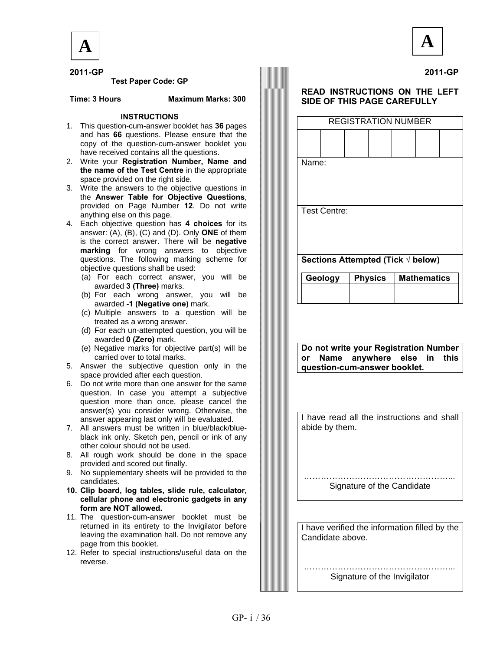

**2011-GP**



 **2011-GP Test Paper Code: GP** 

 **Time: 3 Hours Maximum Marks: 300** 

#### **INSTRUCTIONS**

- 1. This question-cum-answer booklet has **36** pages and has **66** questions. Please ensure that the copy of the question-cum-answer booklet you have received contains all the questions.
- 2. Write your **Registration Number, Name and the name of the Test Centre** in the appropriate space provided on the right side.
- 3. Write the answers to the objective questions in the **Answer Table for Objective Questions**, provided on Page Number **12**. Do not write anything else on this page.
- 4. Each objective question has **4 choices** for its answer: (A), (B), (C) and (D). Only **ONE** of them is the correct answer. There will be **negative marking** for wrong answers to objective questions. The following marking scheme for objective questions shall be used:
	- (a) For each correct answer, you will be awarded **3 (Three)** marks.
	- (b) For each wrong answer, you will be awarded **-1 (Negative one)** mark.
	- (c) Multiple answers to a question will be treated as a wrong answer.
	- (d) For each un-attempted question, you will be awarded **0 (Zero)** mark.
	- (e) Negative marks for objective part(s) will be carried over to total marks.
- 5. Answer the subjective question only in the space provided after each question.
- 6. Do not write more than one answer for the same question. In case you attempt a subjective question more than once, please cancel the answer(s) you consider wrong. Otherwise, the answer appearing last only will be evaluated.
- 7. All answers must be written in blue/black/blueblack ink only. Sketch pen, pencil or ink of any other colour should not be used.
- 8. All rough work should be done in the space provided and scored out finally.
- 9. No supplementary sheets will be provided to the candidates.
- **10. Clip board, log tables, slide rule, calculator, cellular phone and electronic gadgets in any form are NOT allowed.**
- 11. The question-cum-answer booklet must be returned in its entirety to the Invigilator before leaving the examination hall. Do not remove any page from this booklet.
- 12. Refer to special instructions/useful data on the reverse.

#### **READ INSTRUCTIONS ON THE LEFT SIDE OF THIS PAGE CAREFULLY**

| <b>REGISTRATION NUMBER</b>                 |                |  |                    |  |  |  |  |  |  |  |
|--------------------------------------------|----------------|--|--------------------|--|--|--|--|--|--|--|
|                                            |                |  |                    |  |  |  |  |  |  |  |
| Name:                                      |                |  |                    |  |  |  |  |  |  |  |
| <b>Test Centre:</b>                        |                |  |                    |  |  |  |  |  |  |  |
| Sections Attempted (Tick $\sqrt{ }$ below) |                |  |                    |  |  |  |  |  |  |  |
| Geology                                    | <b>Physics</b> |  | <b>Mathematics</b> |  |  |  |  |  |  |  |

**Do not write your Registration Number or Name anywhere else in this question-cum-answer booklet.** 

I have read all the instructions and shall abide by them.

………………………………………… Signature of the Candidate

I have verified the information filled by the Candidate above.

 ……………………………………………... Signature of the Invigilator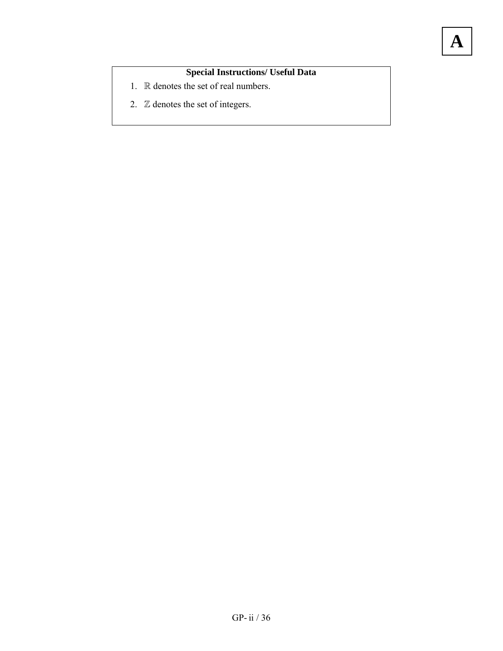### **Special Instructions/ Useful Data**

- 1. R denotes the set of real numbers.
- 2. Z denotes the set of integers.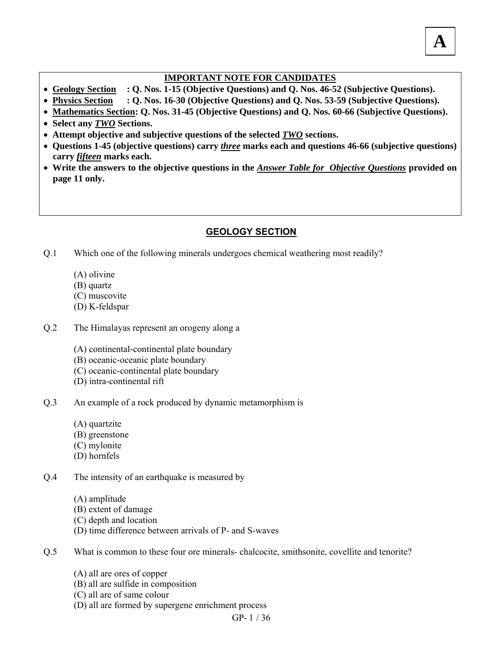#### **IMPORTANT NOTE FOR CANDIDATES**

- **Geology Section : Q. Nos. 1-15 (Objective Questions) and Q. Nos. 46-52 (Subjective Questions).**
- **Physics Section : Q. Nos. 16-30 (Objective Questions) and Q. Nos. 53-59 (Subjective Questions).**
- **Mathematics Section: Q. Nos. 31-45 (Objective Questions) and Q. Nos. 60-66 (Subjective Questions).**
- **Select any** *TWO* **Sections.**
- **Attempt objective and subjective questions of the selected** *TWO* **sections.**
- **Questions 1-45 (objective questions) carry** *three* **marks each and questions 46-66 (subjective questions) carry** *fifteen* **marks each.**
- Write the answers to the objective questions in the *Answer Table for Objective Questions* provided on **page 11 only.**

### **GEOLOGY SECTION**

- Which one of the following minerals undergoes chemical weathering most readily? Q.1
	- (A) olivine
	- (B) quartz
	- (C) muscovite
	- (D) K-feldspar
- The Himalayas represent an orogeny along a Q.2
	- (A) continental-continental plate boundary
	- (B) oceanic-oceanic plate boundary
	- (C) oceanic-continental plate boundary
	- (D) intra-continental rift
- An example of a rock produced by dynamic metamorphism is Q.3
	- (A) quartzite
	- (B) greenstone
	- (C) mylonite
	- (D) hornfels
- The intensity of an earthquake is measured by Q.4
	- (A) amplitude
	- (B) extent of damage
	- (C) depth and location
	- (D) time difference between arrivals of P- and S-waves
- What is common to these four ore minerals- chalcocite, smithsonite, covellite and tenorite? Q.5
	- (A) all are ores of copper
	- (B) all are sulfide in composition
	- (C) all are of same colour
	- (D) all are formed by supergene enrichment process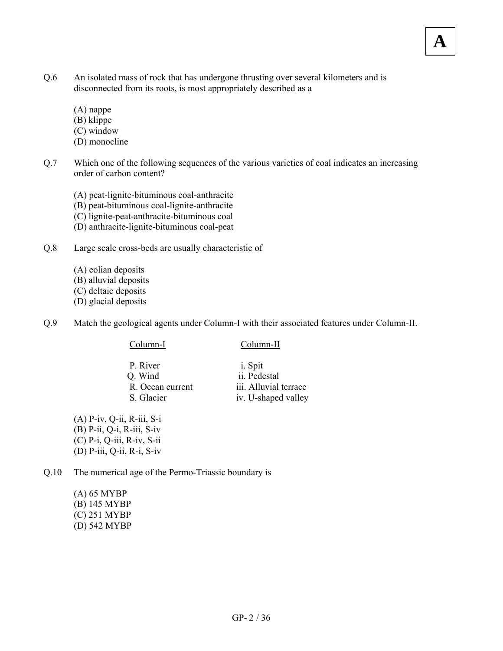- An isolated mass of rock that has undergone thrusting over several kilometers and is disconnected from its roots, is most appropriately described as a Q.6
	- (A) nappe
	- (B) klippe
	- (C) window
	- (D) monocline
- Which one of the following sequences of the various varieties of coal indicates an increasing order of carbon content? Q.7

- (A) peat-lignite-bituminous coal-anthracite
- (B) peat-bituminous coal-lignite-anthracite
- (C) lignite-peat-anthracite-bituminous coal
- (D) anthracite-lignite-bituminous coal-peat
- Large scale cross-beds are usually characteristic of Q.8
	- (A) eolian deposits
	- (B) alluvial deposits
	- (C) deltaic deposits
	- (D) glacial deposits
- Match the geological agents under Column-I with their associated features under Column-II. Q.9

#### Column-I Column-II

- P. River i. Spit Q. Wind ii. Pedestal R. Ocean current iii. Alluvial terrace S. Glacier iv. U-shaped valley
- (A) P-iv, Q-ii, R-iii, S-i (B) P-ii, Q-i, R-iii, S-iv (C) P-i, Q-iii, R-iv, S-ii (D) P-iii, Q-ii, R-i, S-iv

The numerical age of the Permo-Triassic boundary is Q.10

> (A) 65 MYBP (B) 145 MYBP (C) 251 MYBP (D) 542 MYBP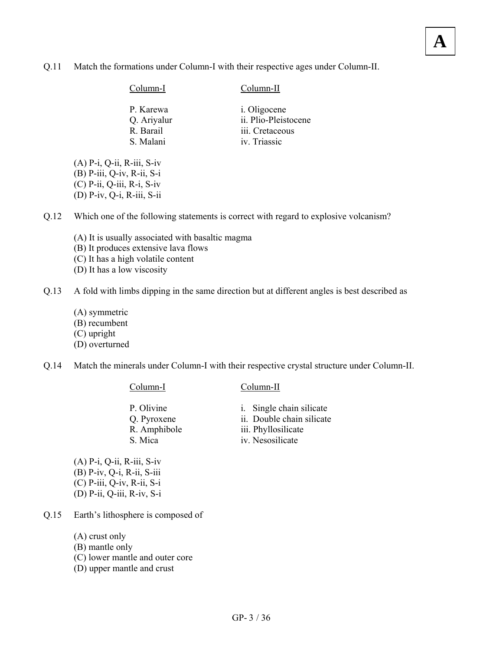Match the formations under Column-I with their respective ages under Column-II. Q.11

| Column-I    | Column-II            |
|-------------|----------------------|
| P. Karewa   | <i>i</i> . Oligocene |
| Q. Ariyalur | ii. Plio-Pleistocene |
| R. Barail   | iii. Cretaceous      |
| S. Malani   | iv. Triassic         |

(A) P-i, Q-ii, R-iii, S-iv (B) P-iii, Q-iv, R-ii, S-i (C) P-ii, Q-iii, R-i, S-iv (D) P-iv, Q-i, R-iii, S-ii

Which one of the following statements is correct with regard to explosive volcanism? Q.12

- (A) It is usually associated with basaltic magma
- (B) It produces extensive lava flows
- (C) It has a high volatile content
- (D) It has a low viscosity

A fold with limbs dipping in the same direction but at different angles is best described as Q.13

- (A) symmetric
- (B) recumbent
- (C) upright
- (D) overturned

Match the minerals under Column-I with their respective crystal structure under Column-II. Q.14

#### Column-I Column-II

- P. Olivine i. Single chain silicate Q. Pyroxene ii. Double chain silicate R. Amphibole iii. Phyllosilicate
	-
	-
	-
- S. Mica iv. Nesosilicate

(A) P-i, Q-ii, R-iii, S-iv (B) P-iv, Q-i, R-ii, S-iii (C) P-iii, Q-iv, R-ii, S-i (D) P-ii, Q-iii, R-iv, S-i

- Earth's lithosphere is composed of Q.15
	- (A) crust only
	- (B) mantle only
	- (C) lower mantle and outer core
	- (D) upper mantle and crust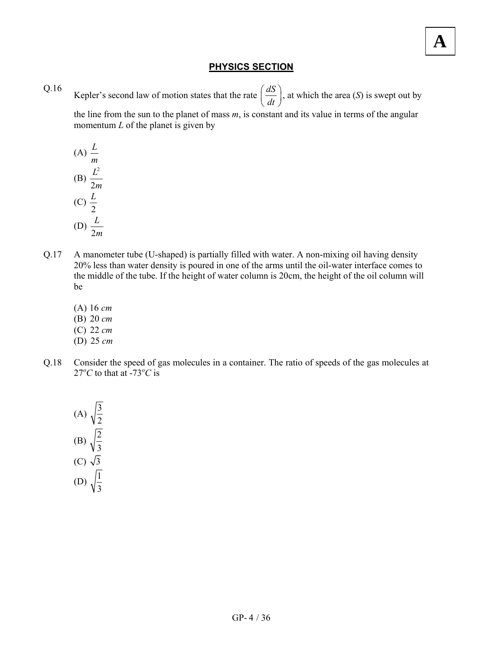#### **PHYSICS SECTION**

Kepler's second law of motion states that the rate  $\left(\frac{dS}{dt}\right)$  $\left(\frac{dS}{dt}\right)$ , at which the area *(S)* is swept out by Q.16

the line from the sun to the planet of mass *m*, is constant and its value in terms of the angular momentum *L* of the planet is given by

(A) 
$$
\frac{L}{m}
$$
  
\n(B)  $\frac{L^2}{2m}$   
\n(C)  $\frac{L}{2}$   
\n(D)  $\frac{L}{2m}$ 

- A manometer tube (U-shaped) is partially filled with water. A non-mixing oil having density 20% less than water density is poured in one of the arms until the oil-water interface comes to the middle of the tube. If the height of water column is 20cm, the height of the oil column will be Q.17
	- (A) 16 *cm*
	- (B) 20 *cm*
	- (C) 22 *cm*
	- (D) 25 *cm*
- Consider the speed of gas molecules in a container. The ratio of speeds of the gas molecules at 27<sup>o</sup>C to that at -73<sup>o</sup>C is Q.18

(A) 
$$
\sqrt{\frac{3}{2}}
$$
  
\n(B)  $\sqrt{\frac{2}{3}}$   
\n(C)  $\sqrt{3}$   
\n(D)  $\sqrt{\frac{1}{3}}$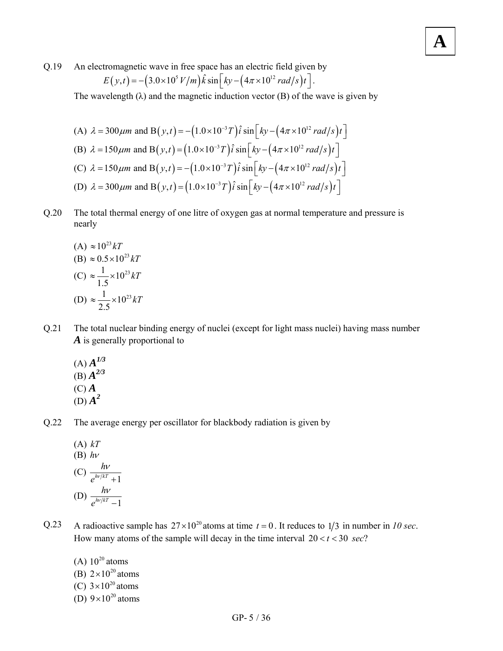An electromagnetic wave in free space has an electric field given by Q.19

$$
E(y,t) = -\left(3.0 \times 10^5 V/m\right) \hat{k} \sin \left[ky - \left(4\pi \times 10^{12} rad/s\right)t\right].
$$

The wavelength  $(\lambda)$  and the magnetic induction vector  $(B)$  of the wave is given by

(A) 
$$
\lambda = 300 \mu m
$$
 and B $(y,t) = -(1.0 \times 10^{-3} T) \hat{i} \sin \left[ky - (4\pi \times 10^{12} \text{ rad/s})t\right]$   
\n(B)  $\lambda = 150 \mu m$  and B $(y,t) = (1.0 \times 10^{-3} T) \hat{i} \sin \left[ky - (4\pi \times 10^{12} \text{ rad/s})t\right]$   
\n(C)  $\lambda = 150 \mu m$  and B $(y,t) = -(1.0 \times 10^{-3} T) \hat{i} \sin \left[ky - (4\pi \times 10^{12} \text{ rad/s})t\right]$   
\n(D)  $\lambda = 300 \mu m$  and B $(y,t) = (1.0 \times 10^{-3} T) \hat{i} \sin \left[ky - (4\pi \times 10^{12} \text{ rad/s})t\right]$ 

The total thermal energy of one litre of oxygen gas at normal temperature and pressure is nearly Q.20

(A) 
$$
\approx 10^{23} kT
$$
  
\n(B)  $\approx 0.5 \times 10^{23} kT$   
\n(C)  $\approx \frac{1}{1.5} \times 10^{23} kT$   
\n(D)  $\approx \frac{1}{2.5} \times 10^{23} kT$ 

The total nuclear binding energy of nuclei (except for light mass nuclei) having mass number *A* is generally proportional to Q.21

- $(A)$  $A^{1/3}$  $(B)$  $A^{2/3}$ (C) *A*  $(D)$  $A^2$
- The average energy per oscillator for blackbody radiation is given by Q.22

(A) kT  
\n(B) 
$$
h\nu
$$
  
\n(C)  $\frac{h\nu}{e^{h\nu/kT} + 1}$   
\n(D)  $\frac{h\nu}{e^{h\nu/kT} - 1}$ 

A radioactive sample has  $27 \times 10^{20}$  atoms at time  $t = 0$ . It reduces to  $1/3$  in number in *10 sec.* How many atoms of the sample will decay in the time interval  $20 < t < 30$  sec? Q.23

(A)  $10^{20}$  atoms (B)  $2 \times 10^{20}$  atoms

- (C)  $3 \times 10^{20}$  atoms
- (D)  $9 \times 10^{20}$  atoms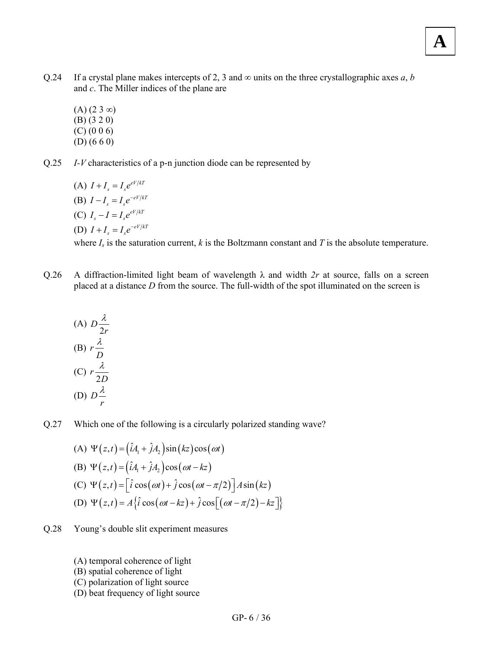- If a crystal plane makes intercepts of 2, 3 and  $\infty$  units on the three crystallographic axes *a*, *b* and *c*. The Miller indices of the plane are Q.24
	- $(A)$  (2 3 ∞) (B) (3 2 0) (C) (0 0 6) (D) (6 6 0)

*I-V* characteristics of a p-n junction diode can be represented by Q.25

> (A)  $I + I_s = I_s e^{eV/kT}$ (B)  $I - I_s = I_s e^{-eV/kT}$ (C)  $I_s - I = I_s e^{eV/kT}$ (D)  $I + I_s = I_s e^{-eV/kT}$

where  $I_s$  is the saturation current,  $k$  is the Boltzmann constant and  $T$  is the absolute temperature.

A diffraction-limited light beam of wavelength  $\lambda$  and width  $2r$  at source, falls on a screen placed at a distance *D* from the source. The full-width of the spot illuminated on the screen is Q.26

(A) 
$$
D \frac{\lambda}{2r}
$$
  
\n(B)  $r \frac{\lambda}{D}$   
\n(C)  $r \frac{\lambda}{2D}$   
\n(D)  $D \frac{\lambda}{r}$ 

Which one of the following is a circularly polarized standing wave? Q.27

(A) 
$$
\Psi(z,t) = (\hat{i}A_1 + \hat{j}A_2)\sin(kz)\cos(\omega t)
$$
  
\n(B)  $\Psi(z,t) = (\hat{i}A_1 + \hat{j}A_2)\cos(\omega t - kz)$   
\n(C)  $\Psi(z,t) = [\hat{i}\cos(\omega t) + \hat{j}\cos(\omega t - \pi/2)]A\sin(kz)$   
\n(D)  $\Psi(z,t) = A\{\hat{i}\cos(\omega t - kz) + \hat{j}\cos[(\omega t - \pi/2) - kz]\}$ 

- Young's double slit experiment measures Q.28
	- (A) temporal coherence of light
	- (B) spatial coherence of light
	- (C) polarization of light source
	- (D) beat frequency of light source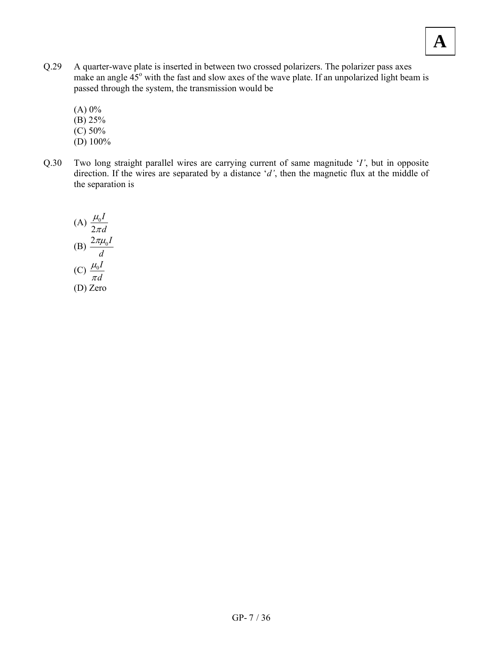- A quarter-wave plate is inserted in between two crossed polarizers. The polarizer pass axes make an angle  $45^{\circ}$  with the fast and slow axes of the wave plate. If an unpolarized light beam is passed through the system, the transmission would be Q.29
	- $(A) 0\%$
	- (B) 25%
	- $(C) 50%$
	- (D) 100%
- Two long straight parallel wires are carrying current of same magnitude '*I'*, but in opposite direction. If the wires are separated by a distance '*d'*, then the magnetic flux at the middle of the separation is Q.30

(A) 
$$
\frac{\mu_0 I}{2\pi d}
$$
  
\n(B) 
$$
\frac{2\pi\mu_0 I}{d}
$$
  
\n(C) 
$$
\frac{\mu_0 I}{\pi d}
$$
  
\n(D) Zero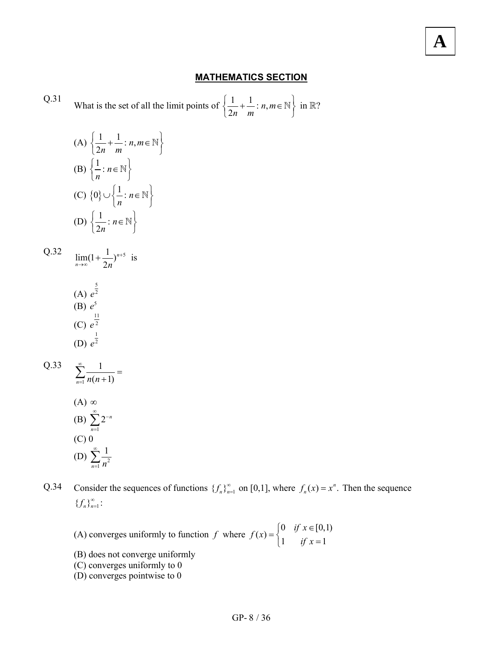#### **MATHEMATICS SECTION**

Q.31 What is the set of all the limit points of 
$$
\left\{\frac{1}{2n} + \frac{1}{m} : n, m \in \mathbb{N}\right\}
$$
 in  $\mathbb{R}$ ?

(A) 
$$
\left\{ \frac{1}{2n} + \frac{1}{m} : n, m \in \mathbb{N} \right\}
$$
  
\n(B) 
$$
\left\{ \frac{1}{n} : n \in \mathbb{N} \right\}
$$
  
\n(C) 
$$
\left\{ 0 \right\} \cup \left\{ \frac{1}{n} : n \in \mathbb{N} \right\}
$$
  
\n(D) 
$$
\left\{ \frac{1}{2n} : n \in \mathbb{N} \right\}
$$

 $\lim_{n \to \infty} (1 + \frac{1}{2n})^{n+5}$  $lim_{n\to\infty}$   $2n$ + Q.32  $\lim_{n \to \infty} (1 + \frac{1}{2n})^{n+5}$  is

(A) 
$$
e^{\frac{5}{2}}
$$
  
\n(B)  $e^5$   
\n(C)  $e^{\frac{11}{2}}$   
\n(D)  $e^{\frac{1}{2}}$ 

Q.33 
$$
\sum_{n=1}^{\infty} \frac{1}{n(n+1)} =
$$
  
(A)  $\infty$   
(B) 
$$
\sum_{n=1}^{\infty} 2^{-n}
$$
  
(C) 0  
(D) 
$$
\sum_{n=1}^{\infty} \frac{1}{n^2}
$$

Consider the sequences of functions  $\{f_n\}_{n=1}^{\infty}$  on [0,1], where  $f_n(x) = x^n$ . Then the sequence  ${f_{n}}_{n=1}^{\infty}$ : Q.34

- (A) converges uniformly to function *f* where  $f(x) = \begin{cases} 0 & \text{if } x \in [0,1] \\ 1 & \text{if } x = 1 \end{cases}$  $\begin{cases} 1 & \text{if } x = \end{cases}$
- (B) does not converge uniformly
- (C) converges uniformly to 0
- (D) converges pointwise to 0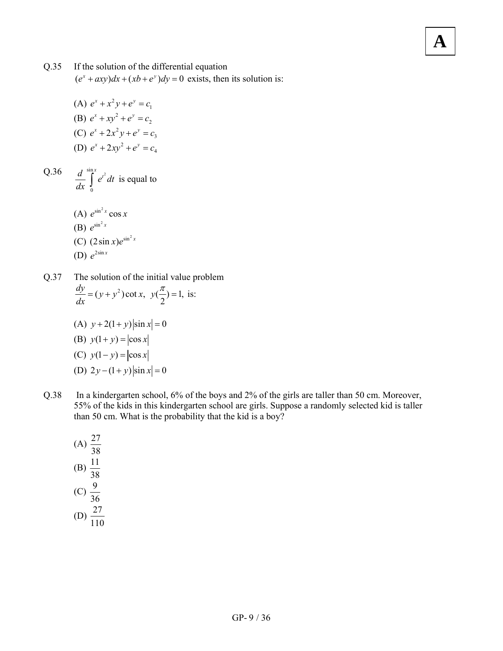#### If the solution of the differential equation Q.35

 $(e^x + axy)dx + (xb + e^y)dy = 0$  exists, then its solution is:

**A**

(A)  $e^x + x^2y + e^y = c_1$ (B)  $e^x + xy^2 + e^y = c_2$ (C)  $e^x + 2x^2y + e^y = c_3$ (D)  $e^x + 2xy^2 + e^y = c_4$ 

 $\sum_{r=1}^{\sin x}$ 0  $\frac{d}{dx} \int e^{t^2} dt$  $\frac{d}{dx}$   $\int_{0}^{a^{t}} e^{t^{2}} dt$  is equal to Q.36

> (A)  $e^{\sin^2 x} \cos x$  $(B)$   $e^{\sin^2 x}$ (C)  $(2 \sin x) e^{\sin^2 x}$ (D)  $e^{2\sin x}$

The solution of the initial value problem  $\frac{dy}{dx} = (y + y^2) \cot x, \ y(\frac{\pi}{2}) = 1$ , is: Q.37

- (A)  $y + 2(1 + y) |\sin x| = 0$ (B)  $y(1+y) = |\cos x|$ (C)  $y(1-y) = |\cos x|$ (D)  $2y - (1 + y)\sin x = 0$
- In a kindergarten school, 6% of the boys and 2% of the girls are taller than 50 cm. Moreover, 55% of the kids in this kindergarten school are girls. Suppose a randomly selected kid is taller than 50 cm. What is the probability that the kid is a boy? Q.38

(A) 
$$
\frac{27}{38}
$$
  
\n(B)  $\frac{11}{38}$   
\n(C)  $\frac{9}{36}$   
\n(D)  $\frac{27}{110}$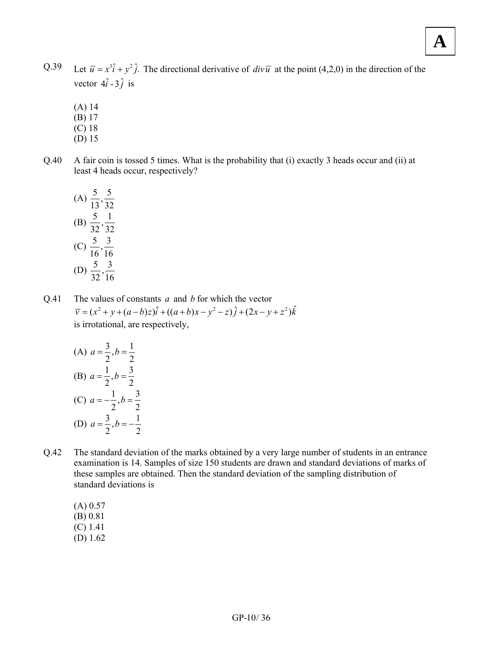- Let  $\overline{u} = x^3 \hat{i} + y^2 \hat{j}$ . The directional derivative of  $\frac{dv\overline{u}}{dv\overline{u}}$  at the point (4,2,0) in the direction of the vector  $4\hat{i} - 3\hat{j}$  is Q.39
	- (A) 14
	- (B) 17
	- (C) 18
	- (D) 15
- A fair coin is tossed 5 times. What is the probability that (i) exactly 3 heads occur and (ii) at least 4 heads occur, respectively? Q.40

(A) 
$$
\frac{5}{13}, \frac{5}{32}
$$
  
\n(B)  $\frac{5}{32}, \frac{1}{32}$   
\n(C)  $\frac{5}{16}, \frac{3}{16}$   
\n(D)  $\frac{5}{32}, \frac{3}{16}$ 

The values of constants *a* and *b* for which the vector  $\overline{v} = (x^2 + y + (a - b)z)\hat{i} + ((a + b)x - y^2 - z)\hat{j} + (2x - y + z^2)\hat{k}$ is irrotational, are respectively, Q.41

(A) 
$$
a = \frac{3}{2}, b = \frac{1}{2}
$$
  
\n(B)  $a = \frac{1}{2}, b = \frac{3}{2}$   
\n(C)  $a = -\frac{1}{2}, b = \frac{3}{2}$   
\n(D)  $a = \frac{3}{2}, b = -\frac{1}{2}$ 

- The standard deviation of the marks obtained by a very large number of students in an entrance examination is 14. Samples of size 150 students are drawn and standard deviations of marks of these samples are obtained. Then the standard deviation of the sampling distribution of standard deviations is Q.42
	- (A) 0.57
	- (B) 0.81
	- (C) 1.41
	- (D) 1.62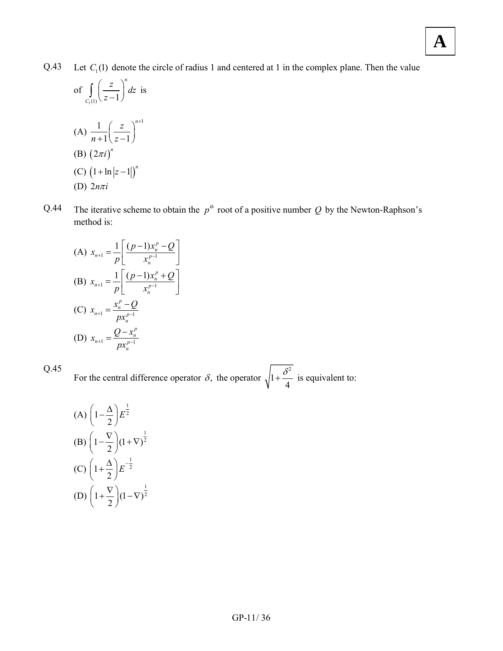Let  $C_1(1)$  denote the circle of radius 1 and centered at 1 in the complex plane. Then the value Q.43

of 
$$
\int_{C_1(1)} \left(\frac{z}{z-1}\right)^n dz
$$
 is  
\n(A) 
$$
\frac{1}{n+1} \left(\frac{z}{z-1}\right)^{n+1}
$$
  
\n(B) 
$$
(2\pi i)^n
$$
  
\n(C) 
$$
(1 + \ln|z-1|)^n
$$

- (D)  $2n\pi i$
- The iterative scheme to obtain the  $p^{th}$  root of a positive number Q by the Newton-Raphson's method is: Q.44

(A) 
$$
x_{n+1} = \frac{1}{p} \left[ \frac{(p-1)x_n^p - Q}{x_n^{p-1}} \right]
$$
  
\n(B)  $x_{n+1} = \frac{1}{p} \left[ \frac{(p-1)x_n^p + Q}{x_n^{p-1}} \right]$   
\n(C)  $x_{n+1} = \frac{x_n^p - Q}{px_n^{p-1}}$   
\n(D)  $x_{n+1} = \frac{Q - x_n^p}{px_n^{p-1}}$ 

Q.45

For the central difference operator  $\delta$ , the operator 2 1 4  $+\frac{\delta^2}{\epsilon}$  is equivalent to:

(A) 
$$
\left(1-\frac{\Delta}{2}\right)E^{\frac{1}{2}}
$$
  
\n(B)  $\left(1-\frac{\nabla}{2}\right)(1+\nabla)^{\frac{1}{2}}$   
\n(C)  $\left(1+\frac{\Delta}{2}\right)E^{-\frac{1}{2}}$   
\n(D)  $\left(1+\frac{\nabla}{2}\right)(1-\nabla)^{\frac{1}{2}}$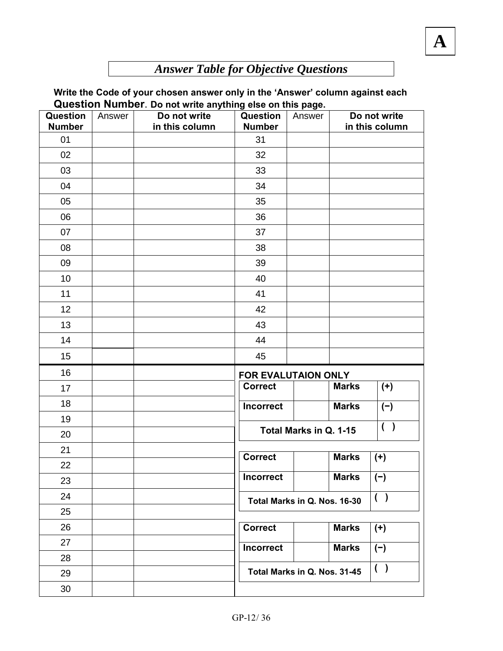## *Answer Table for Objective Questions*

#### **Write the Code of your chosen answer only in the 'Answer' column against each Question Number**. **Do not write anything else on this page.**

| Question<br><b>Number</b> | Answer | Quobtion Numbor. Do not which anything cloc on this page.<br>Do not write<br>in this column | Question<br><b>Number</b> | Answer                       |              | Do not write<br>in this column |
|---------------------------|--------|---------------------------------------------------------------------------------------------|---------------------------|------------------------------|--------------|--------------------------------|
| 01                        |        |                                                                                             | 31                        |                              |              |                                |
| 02                        |        |                                                                                             | 32                        |                              |              |                                |
| 03                        |        |                                                                                             | 33                        |                              |              |                                |
| 04                        |        |                                                                                             | 34                        |                              |              |                                |
| 05                        |        |                                                                                             | 35                        |                              |              |                                |
| 06                        |        |                                                                                             | 36                        |                              |              |                                |
| 07                        |        |                                                                                             | 37                        |                              |              |                                |
| 08                        |        |                                                                                             | 38                        |                              |              |                                |
| 09                        |        |                                                                                             | 39                        |                              |              |                                |
| 10                        |        |                                                                                             | 40                        |                              |              |                                |
| 11                        |        |                                                                                             | 41                        |                              |              |                                |
| 12                        |        |                                                                                             | 42                        |                              |              |                                |
| 13                        |        |                                                                                             | 43                        |                              |              |                                |
| 14                        |        |                                                                                             | 44                        |                              |              |                                |
| 15                        |        |                                                                                             | 45                        |                              |              |                                |
| 16                        |        |                                                                                             | FOR EVALUTAION ONLY       |                              |              |                                |
| 17                        |        |                                                                                             | <b>Correct</b>            |                              | <b>Marks</b> | $(+)$                          |
| 18                        |        |                                                                                             | <b>Incorrect</b>          |                              | <b>Marks</b> | $(-)$                          |
| 19                        |        |                                                                                             |                           |                              |              | ( )                            |
| 20                        |        |                                                                                             |                           | Total Marks in Q. 1-15       |              |                                |
| 21                        |        |                                                                                             | <b>Correct</b>            |                              | <b>Marks</b> |                                |
| 22                        |        |                                                                                             |                           |                              |              | $(+)$                          |
| 23                        |        |                                                                                             | <b>Incorrect</b>          |                              | <b>Marks</b> | $(-)$                          |
| 24                        |        |                                                                                             |                           | Total Marks in Q. Nos. 16-30 |              | ( )                            |
| 25                        |        |                                                                                             |                           |                              |              |                                |
| 26                        |        |                                                                                             | <b>Correct</b>            |                              | <b>Marks</b> | $(+)$                          |
| 27                        |        |                                                                                             | <b>Incorrect</b>          |                              | <b>Marks</b> | $(-)$                          |
| 28                        |        |                                                                                             |                           |                              |              |                                |
| 29                        |        |                                                                                             |                           | Total Marks in Q. Nos. 31-45 |              | ( )                            |
| 30                        |        |                                                                                             |                           |                              |              |                                |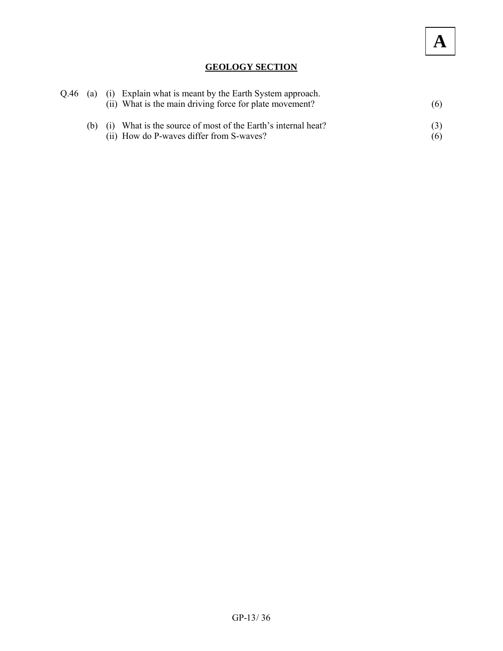#### **GEOLOGY SECTION**

|  | Q.46 (a) (i) Explain what is meant by the Earth System approach.<br>(ii) What is the main driving force for plate movement? | (6) |
|--|-----------------------------------------------------------------------------------------------------------------------------|-----|
|  | (i) What is the source of most of the Earth's internal heat?<br>(ii) How do P-waves differ from S-waves?                    | (6) |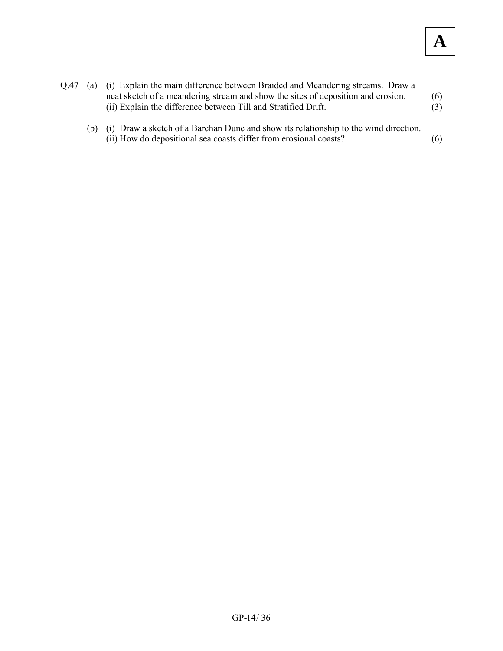(b) (i) Draw a sketch of a Barchan Dune and show its relationship to the wind direction. (ii) How do depositional sea coasts differ from erosional coasts? (6)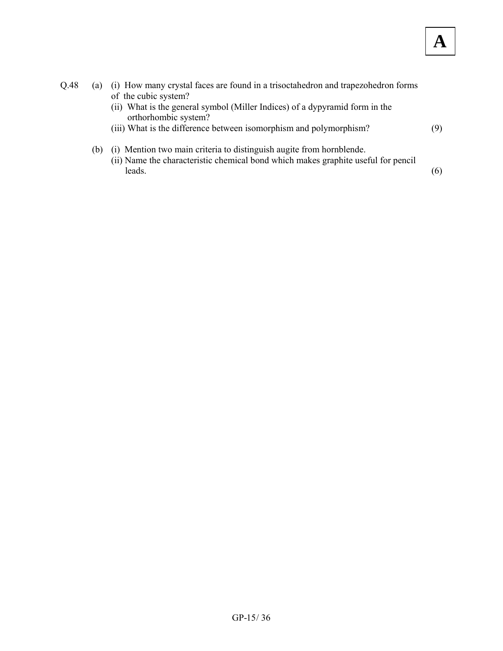| Q.48 | (a) | (i) How many crystal faces are found in a trisoctahedron and trapezohedron forms                                                                          |     |
|------|-----|-----------------------------------------------------------------------------------------------------------------------------------------------------------|-----|
|      |     | of the cubic system?<br>(ii) What is the general symbol (Miller Indices) of a dypyramid form in the                                                       |     |
|      |     | orthorhombic system?                                                                                                                                      |     |
|      |     | (iii) What is the difference between isomorphism and polymorphism?                                                                                        | (9) |
|      | (b) | (i) Mention two main criteria to distinguish augite from hornblende.<br>(ii) Name the characteristic chemical bond which makes graphite useful for pencil |     |
|      |     | leads.                                                                                                                                                    | (6) |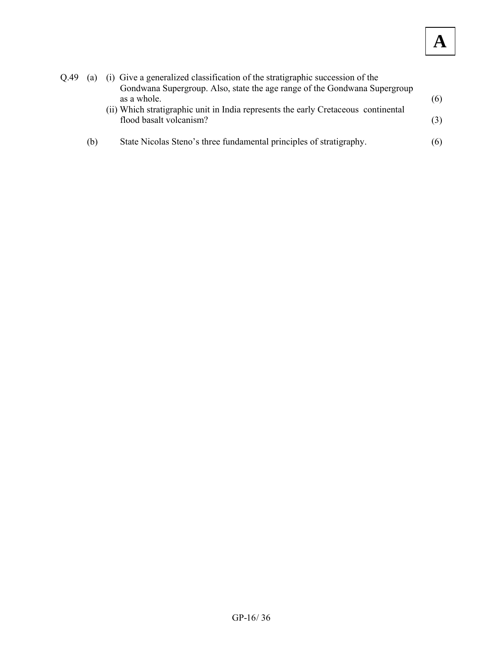| 0.49 | (a) | (i) Give a generalized classification of the stratigraphic succession of the       |     |
|------|-----|------------------------------------------------------------------------------------|-----|
|      |     | Gondwana Supergroup. Also, state the age range of the Gondwana Supergroup          |     |
|      |     | as a whole.                                                                        | (6) |
|      |     | (ii) Which stratigraphic unit in India represents the early Cretaceous continental |     |
|      |     | flood basalt volcanism?                                                            | (3) |
|      | (b) | State Nicolas Steno's three fundamental principles of stratigraphy.                | (6) |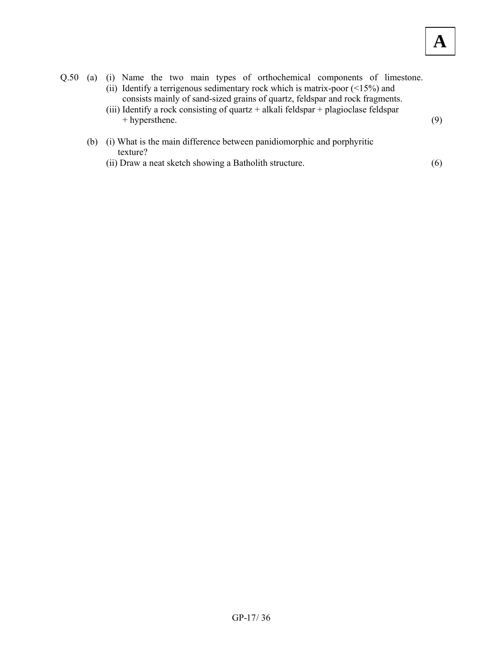| Q.50 | (a) | (i) Name the two main types of orthochemical components of limestone.                                                                                                                                                                                      |     |
|------|-----|------------------------------------------------------------------------------------------------------------------------------------------------------------------------------------------------------------------------------------------------------------|-----|
|      |     | (ii) Identify a terrigenous sedimentary rock which is matrix-poor $(\leq 15\%)$ and<br>consists mainly of sand-sized grains of quartz, feldspar and rock fragments.<br>(iii) Identify a rock consisting of quartz + alkali feldspar + plagioclase feldspar |     |
|      |     | + hypersthene.                                                                                                                                                                                                                                             | (9) |
|      | (b) | (i) What is the main difference between panidiomorphic and porphyritic<br>texture?                                                                                                                                                                         |     |
|      |     | (ii) Draw a neat sketch showing a Batholith structure.                                                                                                                                                                                                     | (6) |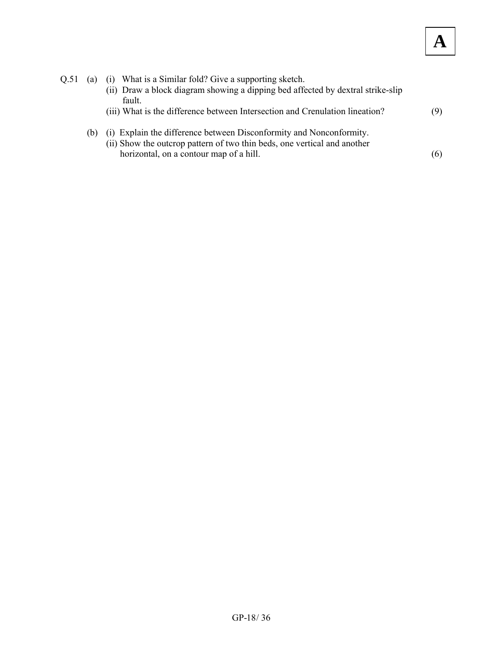| Q.51 | (a) | (i) What is a Similar fold? Give a supporting sketch.<br>(ii) Draw a block diagram showing a dipping bed affected by dextral strike-slip<br>fault.                                         |     |
|------|-----|--------------------------------------------------------------------------------------------------------------------------------------------------------------------------------------------|-----|
|      |     | (iii) What is the difference between Intersection and Crenulation lineation?                                                                                                               | 9)  |
|      | (b) | (i) Explain the difference between Disconformity and Nonconformity.<br>(ii) Show the outcrop pattern of two thin beds, one vertical and another<br>horizontal, on a contour map of a hill. | (6) |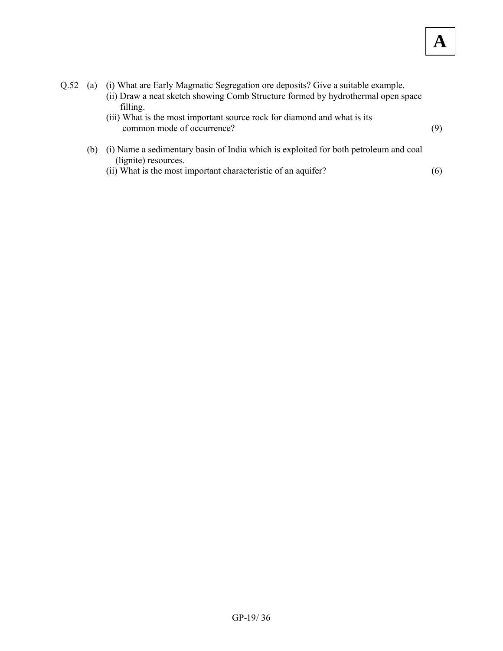- Q.52 (a) (i) What are Early Magmatic Segregation ore deposits? Give a suitable example. (ii) Draw a neat sketch showing Comb Structure formed by hydrothermal open space filling. (iii) What is the most important source rock for diamond and what is its common mode of occurrence? (9) (b) (i) Name a sedimentary basin of India which is exploited for both petroleum and coal
	- (lignite) resources.
		- (ii) What is the most important characteristic of an aquifer?  $(6)$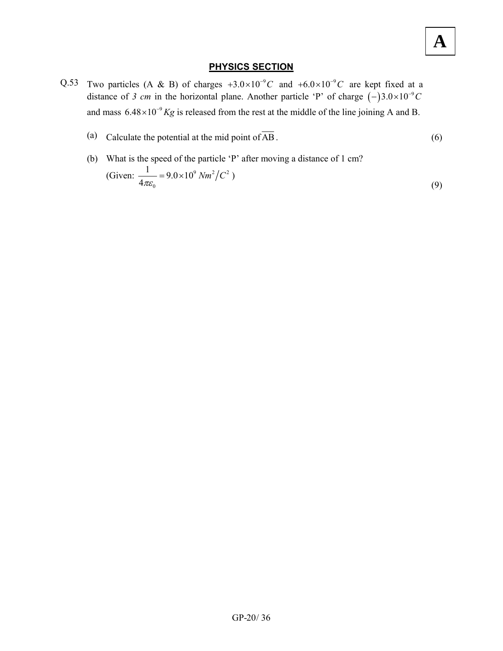#### **PHYSICS SECTION**

- Q.53 Two particles (A & B) of charges  $+3.0 \times 10^{-9}$ C and  $+6.0 \times 10^{-9}$ C are kept fixed at a distance of *3 cm* in the horizontal plane. Another particle 'P' of charge  $(-)3.0 \times 10^{-9}C$ and mass  $6.48 \times 10^{-9}$  Kg is released from the rest at the middle of the line joining A and B.
	- (a) Calculate the potential at the mid point of  $\overline{AB}$ . (6)
	- (b) What is the speed of the particle 'P' after moving a distance of 1 cm? (Given:  $\frac{1}{4}$  = 9.0 × 10<sup>9</sup> Nm<sup>2</sup>/C<sup>2</sup> 0  $\frac{1}{2}$  = 9.0 × 10 4  $\frac{1}{\pi \epsilon_0}$  = 9.0 × 10<sup>9</sup> Nm<sup>2</sup>/C<sup>2</sup>) (9)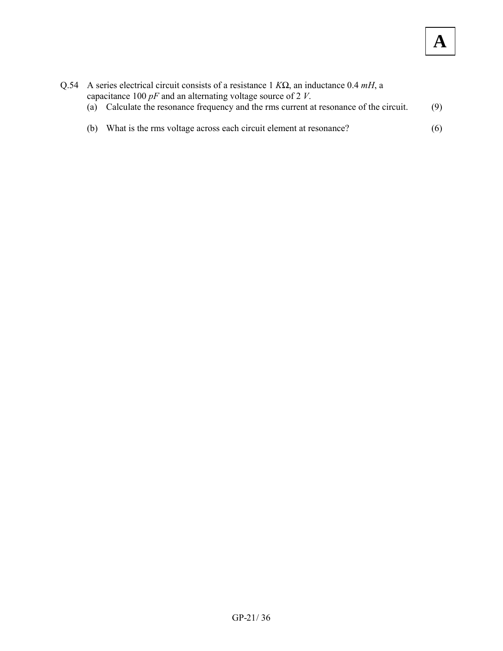|     | Q.54 A series electrical circuit consists of a resistance $1 K\Omega$ , an inductance 0.4 mH, a |     |
|-----|-------------------------------------------------------------------------------------------------|-----|
|     | capacitance 100 $pF$ and an alternating voltage source of 2 V.                                  |     |
|     | (a) Calculate the resonance frequency and the rms current at resonance of the circuit.          | (9) |
|     |                                                                                                 |     |
| (h) | What is the rms voltage across each circuit element at resonance?                               | (6) |
|     |                                                                                                 |     |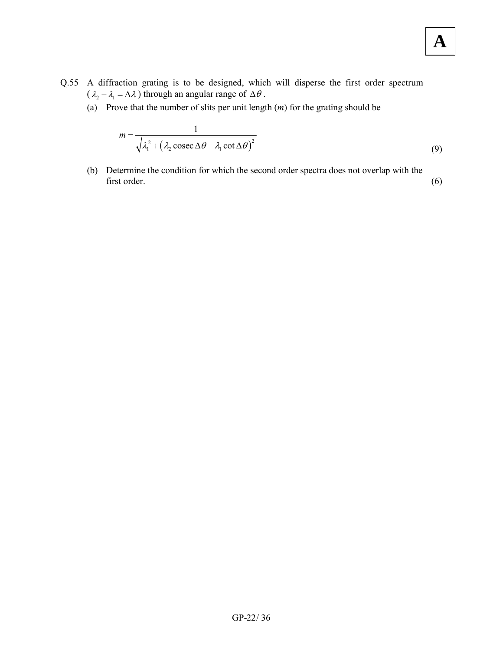- Q.55 A diffraction grating is to be designed, which will disperse the first order spectrum  $(\lambda_2 - \lambda_1 = \Delta \lambda)$  through an angular range of  $\Delta \theta$ .
	- (a) Prove that the number of slits per unit length (*m*) for the grating should be

$$
m = \frac{1}{\sqrt{\lambda_1^2 + (\lambda_2 \csc \Delta \theta - \lambda_1 \cot \Delta \theta)^2}}
$$
(9)

 (b) Determine the condition for which the second order spectra does not overlap with the first order. (6)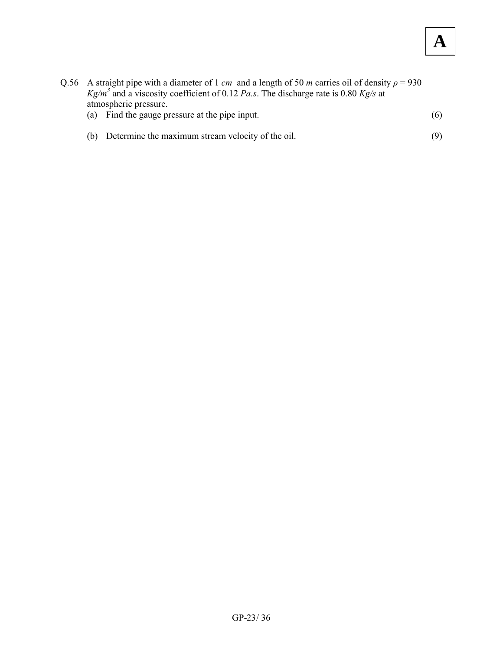- Q.56 A straight pipe with a diameter of 1 *cm* and a length of 50 *m* carries oil of density  $\rho = 930$ *Kg/m<sup>3</sup>* and a viscosity coefficient of 0.12 *Pa.s*. The discharge rate is 0.80 *Kg/s* at atmospheric pressure.
	- (a) Find the gauge pressure at the pipe input.  $(6)$
	- (b) Determine the maximum stream velocity of the oil. (9)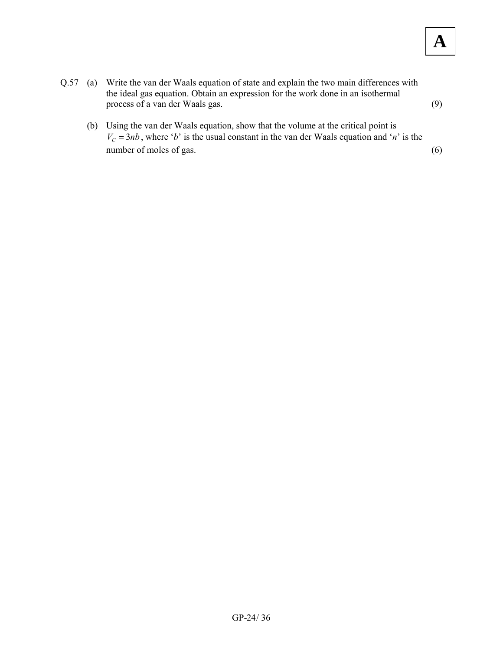- Q.57 (a) Write the van der Waals equation of state and explain the two main differences with the ideal gas equation. Obtain an expression for the work done in an isothermal process of a van der Waals gas. (9)
	- (b) Using the van der Waals equation, show that the volume at the critical point is  $V_c = 3nb$ , where '*b*' is the usual constant in the van der Waals equation and '*n*' is the number of moles of gas.  $(6)$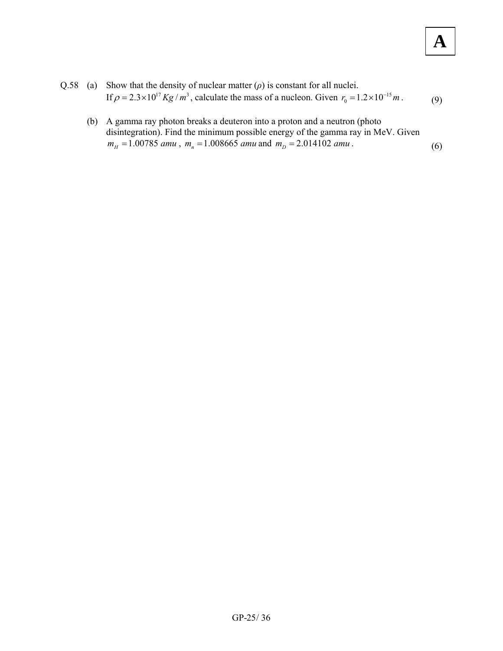- Q.58 (a) Show that the density of nuclear matter  $(\rho)$  is constant for all nuclei. If  $\rho = 2.3 \times 10^{17} Kg / m^3$ , calculate the mass of a nucleon. Given  $r_0 = 1.2 \times 10^{-15} m$ . (9)
	- (b) A gamma ray photon breaks a deuteron into a proton and a neutron (photo disintegration). Find the minimum possible energy of the gamma ray in MeV. Given  $m_H = 1.00785$  *amu*,  $m_n = 1.008665$  *amu* and  $m_D = 2.014102$  *amu*. (6)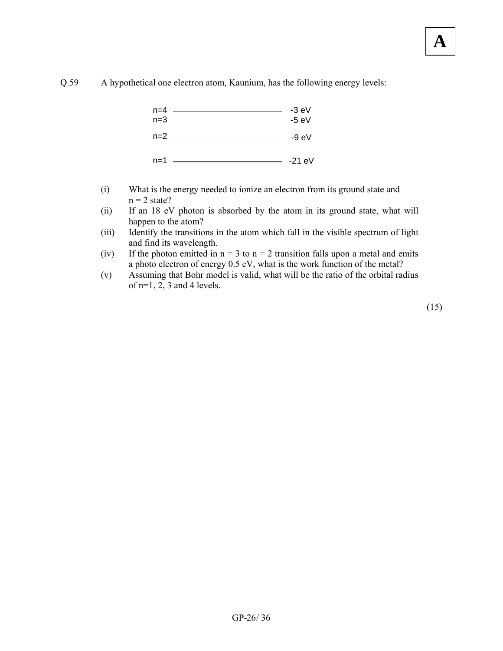



- (i) What is the energy needed to ionize an electron from its ground state and  $n = 2$  state?
- (ii) If an 18 eV photon is absorbed by the atom in its ground state, what will happen to the atom?
- (iii) Identify the transitions in the atom which fall in the visible spectrum of light and find its wavelength.
- (iv) If the photon emitted in  $n = 3$  to  $n = 2$  transition falls upon a metal and emits a photo electron of energy 0.5 eV, what is the work function of the metal?
- (v) Assuming that Bohr model is valid, what will be the ratio of the orbital radius of  $n=1$ , 2, 3 and 4 levels.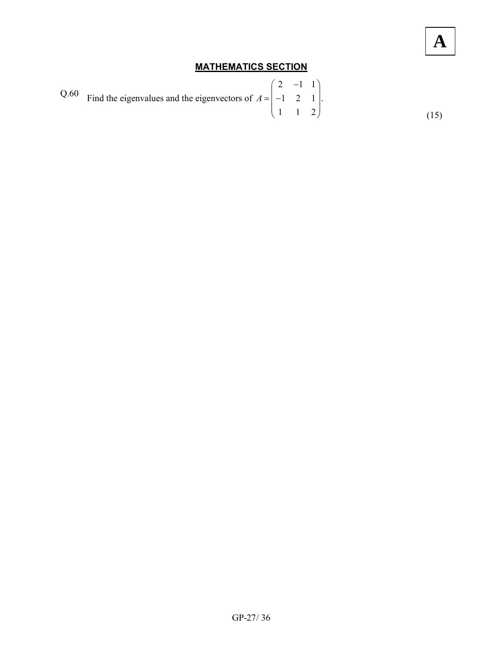### **MATHEMATICS SECTION**

Q.60 Find the eigenvalues and the eigenvectors of 
$$
A = \begin{pmatrix} 2 & -1 & 1 \\ -1 & 2 & 1 \\ 1 & 1 & 2 \end{pmatrix}
$$
. (15)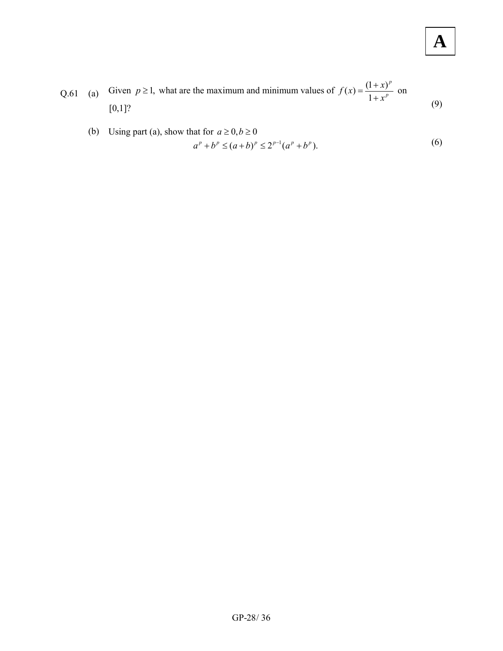Q.61 (a) Given  $p \ge 1$ , what are the maximum and minimum values of  $f(x) = \frac{(1+x)^p}{1+x^p}$  $f(x) = \frac{(1+x)}{1+x^p}$  $=\frac{(1+x)^p}{1+x^p}$  on  $[0,1]$ ? (9)

(b) Using part (a), show that for 
$$
a \ge 0, b \ge 0
$$
  
\n
$$
a^p + b^p \le (a+b)^p \le 2^{p-1}(a^p + b^p).
$$
\n(6)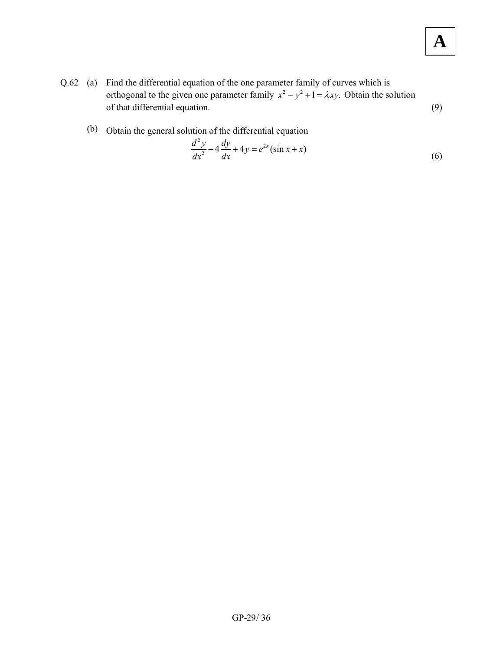- Q.62 (a) Find the differential equation of the one parameter family of curves which is orthogonal to the given one parameter family  $x^2 - y^2 + 1 = \lambda xy$ . Obtain the solution of that differential equation. (9)
	- (b) Obtain the general solution of the differential equation

$$
\frac{d^2y}{dx^2} - 4\frac{dy}{dx} + 4y = e^{2x}(\sin x + x)
$$
 (6)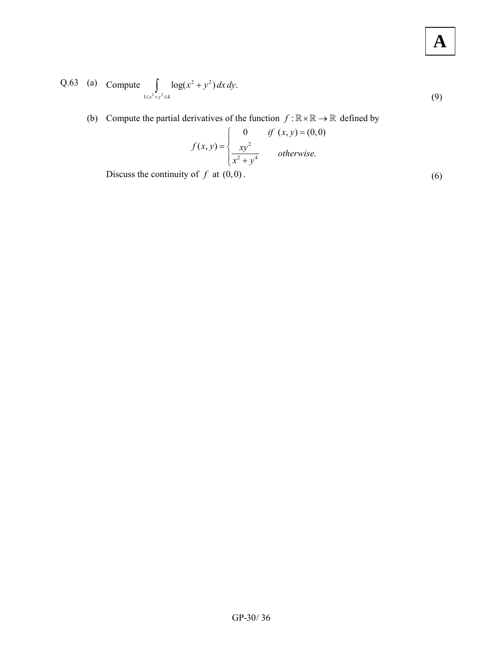Q.63 (a) Compute 
$$
\int_{1 \le x^2 + y^2 \le 4} \log(x^2 + y^2) dx dy
$$
. (9)

(b) Compute the partial derivatives of the function  $f : \mathbb{R} \times \mathbb{R} \to \mathbb{R}$  defined by

$$
f(x,y) = \begin{cases} 0 & \text{if } (x,y) = (0,0) \\ \frac{xy^2}{x^2 + y^4} & \text{otherwise.} \end{cases}
$$

Discuss the continuity of  $f$  at  $(0,0)$ . (6)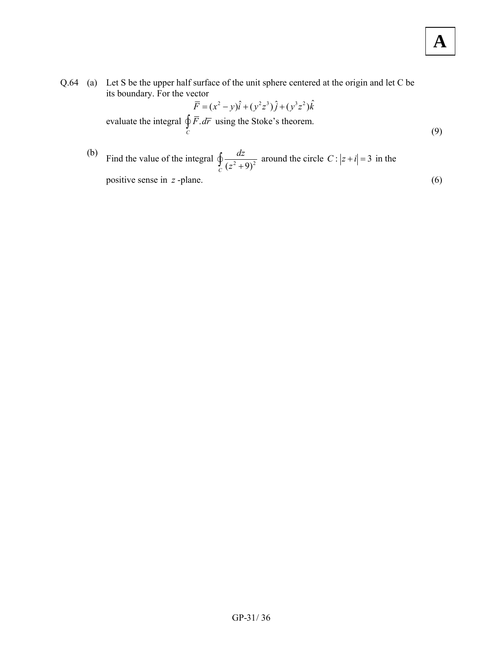its boundary. For the vector  
\n
$$
\overline{F} = (x^2 - y)\hat{i} + (y^2 z^3)\hat{j} + (y^3 z^2)\hat{k}
$$
\nevaluate the integral  $\oint_C \overline{F} \cdot d\overline{r}$  using the Stokes's theorem. (9)

(b) Find the value of the integral 
$$
\oint_C \frac{dz}{(z^2 + 9)^2}
$$
 around the circle  $C: |z + i| = 3$  in the positive sense in *z*-plane.  $(6)$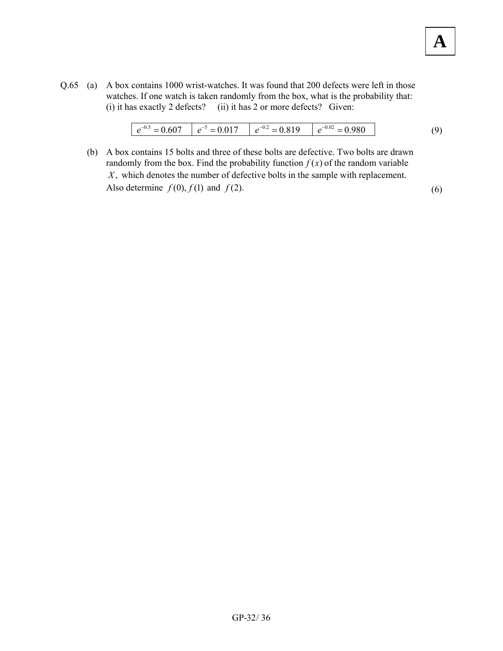Q.65 (a) A box contains 1000 wrist-watches. It was found that 200 defects were left in those watches. If one watch is taken randomly from the box, what is the probability that: (i) it has exactly 2 defects? (ii) it has 2 or more defects? Given:

| $-U_{\nu}$<br>- | $-$ | $-U_{\cdot \sim}$<br>$\overline{\phantom{0}}$<br>◡ | – |  |
|-----------------|-----|----------------------------------------------------|---|--|
|-----------------|-----|----------------------------------------------------|---|--|

**A**

 (b) A box contains 15 bolts and three of these bolts are defective. Two bolts are drawn randomly from the box. Find the probability function  $f(x)$  of the random variable *X*, which denotes the number of defective bolts in the sample with replacement. Also determine  $f(0)$ ,  $f(1)$  and  $f(2)$ .  $(6)$ 

 $GP-32/36$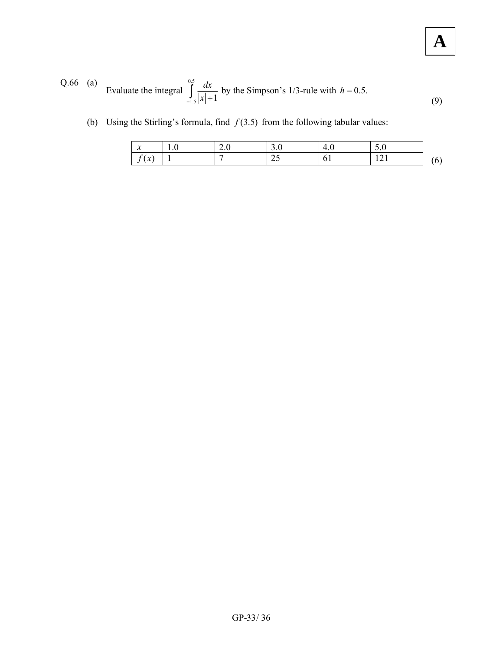Q.66 (a) Evaluate the integral 
$$
\int_{-1.5}^{0.5} \frac{dx}{|x|+1}
$$
 by the Simpson's 1/3-rule with  $h = 0.5$ . (9)

(b) Using the Stirling's formula, find  $f(3.5)$  from the following tabular values:

| $\bullet$<br>∼         | 2.v | <u>.</u> | $\Delta$   | v<br>. .              |  |
|------------------------|-----|----------|------------|-----------------------|--|
| $\bullet$<br>$\lambda$ |     | ں گ      | . .<br>v 1 | $1 \leftrightarrow 1$ |  |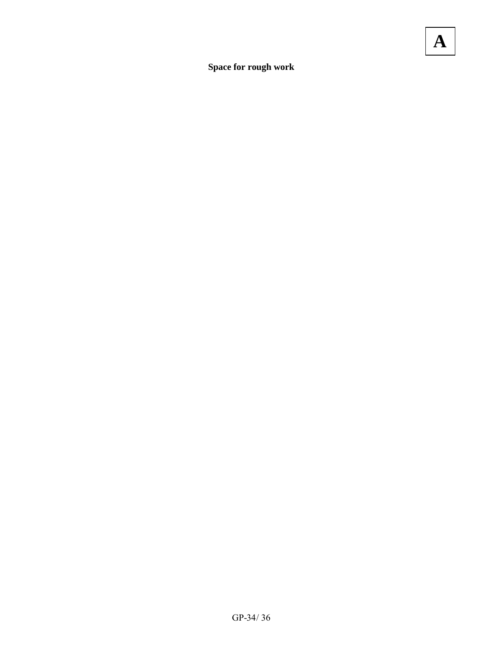**Space for rough work**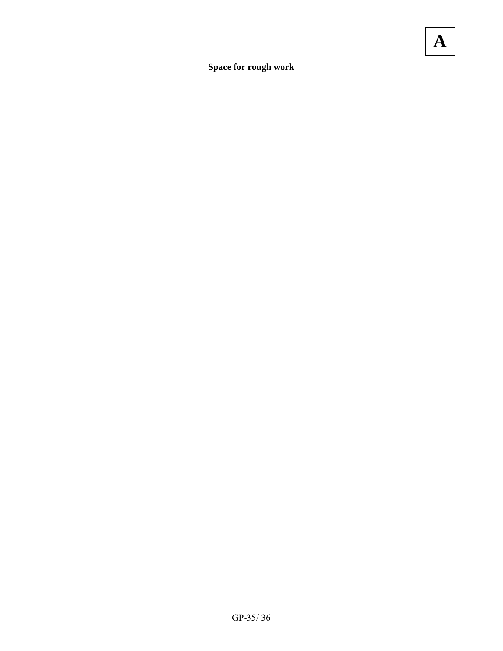**Space for rough work**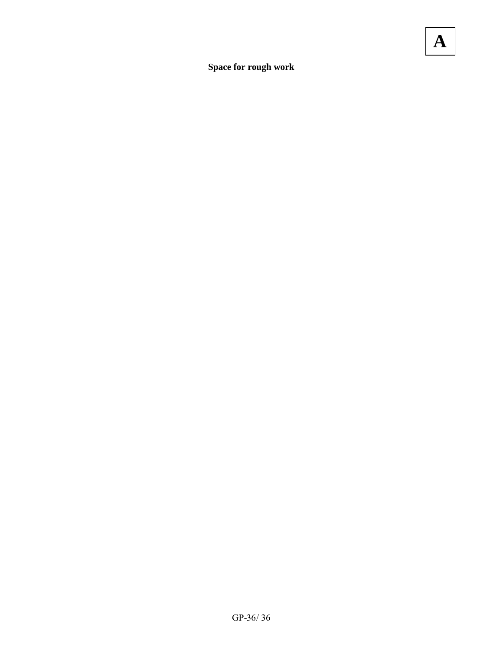**Space for rough work**